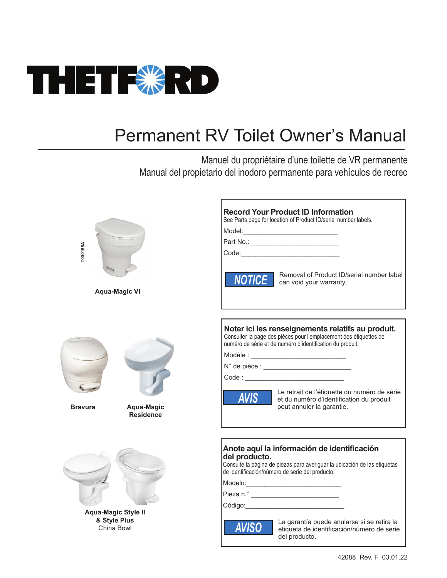

# Permanent RV Toilet Owner's Manual

Manuel du propriétaire d'une toilette de VR permanente Manual del propietario del inodoro permanente para vehículos de recreo

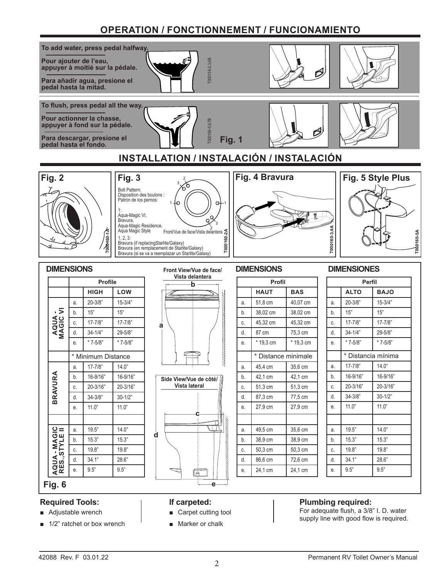## **OPERATION / FONCTIONNEMENT / FUNCIONAMIENTO**



### **Required Tools:**

- Adjustable wrench
- 1/2" ratchet or box wrench

#### **If carpeted:**

- Carpet cutting tool
- Marker or chalk

### **Plumbing required:**

For adequate flush, a 3/8" I. D. water supply line with good flow is required.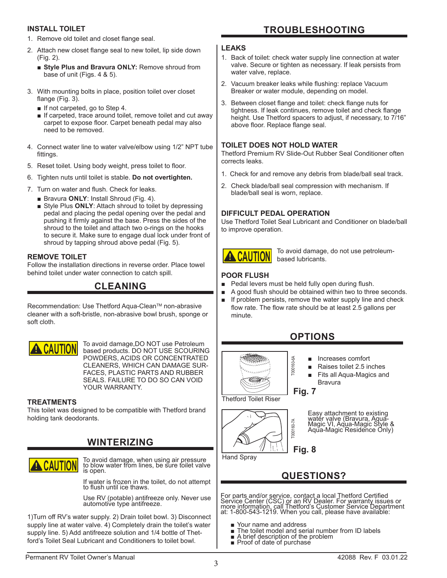#### **INSTALL TOILET**

- 1. Remove old toilet and closet flange seal.
- 2. Attach new closet flange seal to new toilet, lip side down (Fig. 2).
	- Style Plus and Bravura ONLY: Remove shroud from base of unit (Figs. 4 & 5).
- 3. With mounting bolts in place, position toilet over closet flange (Fig. 3).
	- If not carpeted, go to Step 4.
	- If carpeted, trace around toilet, remove toilet and cut away carpet to expose floor. Carpet beneath pedal may also need to be removed.
- 4. Connect water line to water valve/elbow using 1/2" NPT tube fittings.
- 5. Reset toilet. Using body weight, press toilet to floor.
- 6. Tighten nuts until toilet is stable. **Do not overtighten.**
- 7. Turn on water and flush. Check for leaks.
	- Bravura **ONLY**: Install Shroud (Fig. 4).
	- Style Plus ONLY: Attach shroud to toilet by depressing pedal and placing the pedal opening over the pedal and pushing it firmly against the base. Press the sides of the shroud to the toilet and attach two o-rings on the hooks to secure it. Make sure to engage dual lock under front of shroud by tapping shroud above pedal (Fig. 5).

#### **REMOVE TOILET**

Follow the installation directions in reverse order. Place towel behind toilet under water connection to catch spill.

### **CLEANING**

Recommendation: Use Thetford Aqua-Clean™ non-abrasive cleaner with a soft-bristle, non-abrasive bowl brush, sponge or soft cloth.



To avoid damage,DO NOT use Petroleum based products. DO NOT USE SCOURING POWDERS, ACIDS OR CONCENTRATED CLEANERS, WHICH CAN DAMAGE SUR-FACES, PLASTIC PARTS AND RUBBER SEALS. FAILURE TO DO SO CAN VOID YOUR WARRANTY.

#### **TREATMENTS**

This toilet was designed to be compatible with Thetford brand holding tank deodorants.

### **WINTERIZING**



To avoid damage, when using air pressure to blow water from lines, be sure toilet valve is open.

If water is frozen in the toilet, do not attempt to flush until ice thaws.

Use RV (potable) antifreeze only. Never use automotive type antifreeze.

1)Turn off RV's water supply. 2) Drain toilet bowl. 3) Disconnect supply line at water valve. 4) Completely drain the toilet's water supply line. 5) Add antifreeze solution and 1/4 bottle of Thetford's Toilet Seal Lubricant and Conditioners to toilet bowl.

### **TROUBLESHOOTING**

#### **LEAKS**

- 1. Back of toilet: check water supply line connection at water valve. Secure or tighten as necessary. If leak persists from water valve, replace.
- 2. Vacuum breaker leaks while flushing: replace Vacuum Breaker or water module, depending on model.
- 3. Between closet flange and toilet: check flange nuts for tightness. If leak continues, remove toilet and check flange height. Use Thetford spacers to adjust, if necessary, to 7/16" above floor. Replace flange seal.

#### **TOILET DOES NOT HOLD WATER**

Thetford Premium RV Slide-Out Rubber Seal Conditioner often corrects leaks.

- 1. Check for and remove any debris from blade/ball seal track.
- 2. Check blade/ball seal compression with mechanism. If blade/ball seal is worn, replace.

#### **DIFFICULT PEDAL OPERATION**

Use Thetford Toilet Seal Lubricant and Conditioner on blade/ball to improve operation.



To avoid damage, do not use petroleumbased lubricants.

### **POOR FLUSH**

- Pedal levers must be held fully open during flush.
- A good flush should be obtained within two to three seconds.
- If problem persists, remove the water supply line and check flow rate. The flow rate should be at least 2.5 gallons per minute.

### **OPTIONS**



- Increases comfort
- Raises toilet 2.5 inches
- Fits all Aqua-Magics and Bravura



Easy attachment to existing water valve (Bravura, Aqua-Magic VI, Aqua-Magic Style & Aqua-Magic Residence Only)

Hand Spray

**QUESTIONS?**

For parts and/or service, contact a local Thetford Certified<br>Service Center (CSC) or an RV Dealer. For warranty issues or<br>more information, call Thetford's Customer Service Department<br>at: 1-800-543-1219. When you call, ple

- 
- Your name and address<br>■ The toilet model and serial number from ID labels<br>■ A brief description of the problem<br>■ Proof of date of purchase
- 
- 

T000160-6A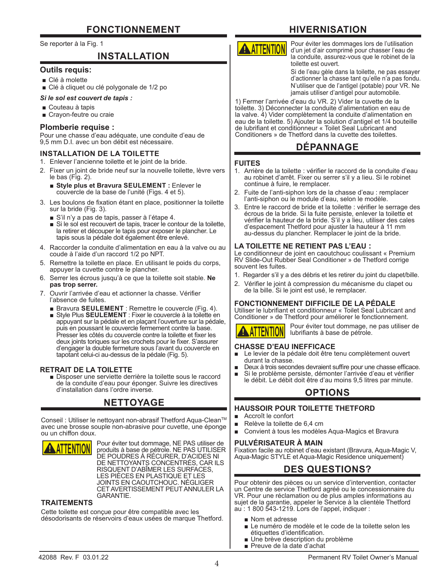#### Se reporter à la Fig. 1

### **INSTALLATION**

#### **Outils requis:**

- Clé à molette
- Clé à cliquet ou clé polygonale de 1/2 po

#### *Si le sol est couvert de tapis :*

- Couteau à tapis
- Crayon-feutre ou craie

#### **Plomberie requise :**

Pour une chasse d'eau adéquate, une conduite d'eau de 9,5 mm D.I. avec un bon débit est nécessaire.

#### **INSTALLATION DE LA TOILETTE**

- 1. Enlever l'ancienne toilette et le joint de la bride.
- 2. Fixer un joint de bride neuf sur la nouvelle toilette, lèvre vers le bas (Fig. 2).
	- **Style plus et Bravura SEULEMENT :** Enlever le couvercle de la base de l'unité (Figs. 4 et 5).
- 3. Les boulons de fixation étant en place, positionner la toilette sur la bride (Fig. 3).
	- S'il n'y a pas de tapis, passer à l'étape 4.
	- Si le sol est recouvert de tapis, tracer le contour de la toilette, la retirer et découper le tapis pour exposer le plancher. Le tapis sous la pédale doit également être enlevé.
- 4. Raccorder la conduite d'alimentation en eau à la valve ou au coude à l'aide d'un raccord 1/2 po NPT.
- 5. Remettre la toilette en place. En utilisant le poids du corps, appuyer la cuvette contre le plancher.
- 6. Serrer les écrous jusqu'à ce que la toilette soit stable. **Ne pas trop serrer.**
- 7. Ouvrir l'arrivée d'eau et actionner la chasse. Vérifier l'absence de fuites.
	- Bravura **SEULEMENT** : Remettre le couvercle (Fig. 4).
	- Style Plus **SEULEMENT** : Fixer le couvercle à la toilette en appuyant sur la pédale et en plaçant l'ouverture sur la pédale, puis en poussant le couvercle fermement contre la base. Presser les côtés du couvercle contre la toilette et fixer les deux joints toriques sur les crochets pour le fixer. S'assurer d'engager la double fermeture sous l'avant du couvercle en tapotant celui-ci au-dessus de la pédale (Fig. 5).

**RETRAIT DE LA TOILETTE**<br>■ Disposer une serviette derrière la toilette sous le raccord de la conduite d'eau pour éponger. Suivre les directives d'installation dans l'ordre inverse.

### **NETTOYAGE**

Conseil : Utiliser le nettoyant non-abrasif Thetford Aqua-Clean™ avec une brosse souple non-abrasive pour cuvette, une éponge ou un chiffon doux.



Pour éviter tout dommage, NE PAS utiliser de produits à base de pétrole. NE PAS UTILISER DE POUDRES À RÉCURER, D'ACIDES NI DE NETTOYANTS CONCENTRÉS, CAR ILS RISQUENT D'ABÎMER LES SURFACES, LES PIÈCES EN PLASTIQUE ET LES JOINTS EN CAOUTCHOUC. NÉGLIGER CET AVERTISSEMENT PEUT ANNULER LA GARANTIE.

#### **TRAITEMENTS**

Cette toilette est conçue pour être compatible avec les désodorisants de réservoirs d'eaux usées de marque Thetford.

## **HIVERNISATION**



Pour éviter les dommages lors de l'utilisation d'un jet d'air comprimé pour chasser l'eau de la conduite, assurez-vous que le robinet de la toilette est ouvert.

Si de l'eau gèle dans la toilette, ne pas essayer d'actionner la chasse tant qu'elle n'a pas fondu. N'utiliser que de l'antigel (potable) pour VR. Ne jamais utiliser d'antigel pour automobile.

1) Fermer l'arrivée d'eau du VR. 2) Vider la cuvette de la tóilette. 3) Déconnecter la conduité d'alimentation en eau de la valve. 4) Vider complètement la conduite d'alimentation en eau de la toilette. 5) Ajouter la solution d'antigel et 1/4 bouteille de lubrifiant et conditionneur « Toilet Seal Lubricant and Conditioners » de Thetford dans la cuvette des toilettes.

### **DÉPANNAGE**

#### **FUITES**

- 1. Arrière de la toilette : vérifier le raccord de la conduite d'eau au robinet d'arrêt. Fixer ou serrer s'il y a lieu. Si le robinet continue à fuire, le remplacer.
- 2. Fuite de l'anti-siphon lors de la chasse d'eau : remplacer l'anti-siphon ou le module d'eau, selon le modèle.
- 3. Entre le raccord de bride et la toilette : vérifier le serrage des écrous de la bride. Si la fuite persiste, enlever la toilette et vérifier la hauteur de la bride. S'il y a lieu, utiliser des cales d'espacement Thetford pour ajuster la hauteur à 11 mm au-dessus du plancher. Remplacer le joint de la bride.

#### **LA TOILETTE NE RETIENT PAS L'EAU :**

Le conditionneur de joint en caoutchouc coulissant « Premium RV Slide-Out Rubber Seal Conditioner » de Thetford corrige souvent les fuites.

- 1. Regarder s'il y a des débris et les retirer du joint du clapet/bille.
- 2. Vérifier le joint à compression du mécanisme du clapet ou de la bille. Si le joint est usé, le remplacer.

#### **FONCTIONNEMENT DIFFICILE DE LA PÉDALE**

Utiliser le lubrifiant et conditionneur « Toilet Seal Lubricant and Conditioner » de Thetford pour améliorer le fonctionnement.

## **!***NOTICE AVISO* **ATTENTION CAUTION ATTENTION** *AVIS*

Pour éviter tout dommage, ne pas utiliser de lubrifiants à base de pétrole.

#### **CHASSE D'EAU INEFFICACE**

- Le levier de la pédale doit être tenu complètement ouvert durant la chasse.
- Deux à trois secondes devraient suffire pour une chasse efficace.
- Si le problème persiste, démonter l'arrivée d'eau et vérifier le débit. Le débit doit être d'au moins 9,5 litres par minute.

### **OPTIONS**

#### **HAUSSOIR POUR TOILETTE THETFORD**

- Accroît le confort
- Relève la toilette de 6,4 cm
- Convient à tous les modèles Aqua-Magics et Bravura

#### **PULVÉRISATEUR À MAIN**

Fixation facile au robinet d'eau existant (Bravura, Aqua-Magic V, Aqua-Magic STYLE et Aqua-Magic Residence uniquement)

### **DES QUESTIONS?**

Pour obtenir des pièces ou un service d'intervention, contacter un Centre de service Thetford agréé ou le concessionnaire du VR. Pour une réclamation ou de plus amples informations au sujet de la garantie, appeler le Service à la clientèle Thetford au : 1 800 543-1219. Lors de l'appel, indiquer :

- Nom et adresse
- Le numéro de modèle et le code de la toilette selon les étiquettes d'identification.
- Une brève description du problème
- Preuve de la date d'achat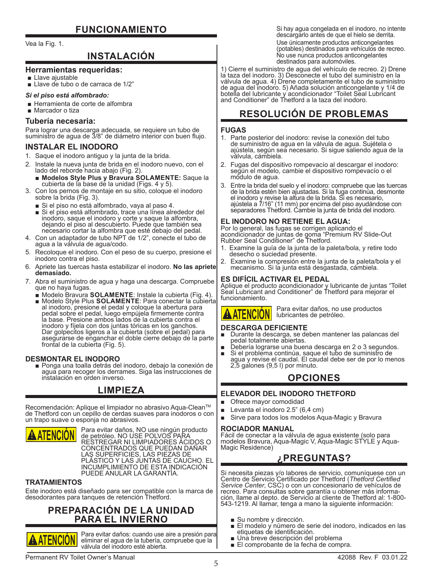### **FUNCIONAMIENTO**

Vea la Fig. 1.

### **INSTALACIÓN**

#### **Herramientas requeridas:**

■ Llave aiustable

■ Llave de tubo o de carraca de 1/2"

#### *Si el piso está alfombrado:*

- Herramienta de corte de alfombra
- Marcador o tiza

#### **Tubería necesaria:**

Para lograr una descarga adecuada, se requiere un tubo de suministro de agua de 3/8" de diámetro interior con buen flujo.

#### **INSTALAR EL INODORO**

- 1. Saque el inodoro antiguo y la junta de la brida.
- 2. Instale la nueva junta de brida en el inodoro nuevo, con el lado del reborde hacia abajo (Fig. 2).
	- **Modelos Style Plus y Bravura SOLAMENTE:** Saque la cubierta de la base de la unidad (Figs. 4 y 5).
- 3. Con los pernos de montaje en su sitio, coloque el inodoro sobre la brida (Fig. 3).
	-
- Si el piso no está alfombrado, vaya al paso 4.<br>■ Si el piso está alfombrado, trace una línea alrededor del inodoro, saque el inodoro y corte y saque la alfombra, dejando el piso al descubierto. Puede que también sea necesario cortar la alfombra que esté debajo del pedal.
- 4. Con un adaptador de tubo NPT de 1/2", conecte el tubo de agua a la válvula de agua/codo.
- 5. Recoloque el inodoro. Con el peso de su cuerpo, presione el inodoro contra el piso.
- 6. Apriete las tuercas hasta estabilizar el inodoro. **No las apriete demasiado.**
- 7. Abra el suministro de agua y haga una descarga. Compruebe que no haya fugas.
	- Modelo Bravura **SOLAMENTE**: Instale la cubierta (Fig. 4). Modelo Style Plus **SOLAMENTE**: Para conectar la cubierta al inodoro, presione el pedal y coloque la abertura para pedal sobre el pedal, luego empújela firmemente contra la base. Presione ambos lados de la cubierta contra el inodoro y fíjela con dos juntas tóricas en los ganchos. Dar golpecitos ligeros a la cubierta (sobre el pedal) para asegurarse de enganchar el doble cierre debajo de la parte frontal de la cubierta (Fig. 5).

**DESMONTAR EL INODORO** ■ Ponga una toalla detrás del inodoro, debajo la conexión de agua para recoger los derrames. Siga las instrucciones de instalación en orden inverso.

### **LIMPIEZA**

Recomendación: Aplique el limpiador no abrasivo Aqua-Clean™ de Thetford con un cepillo de cerdas suaves para inodoros o con un trapo suave o esponja no abrasivos.



Para evitar daños, NO use ningún producto de petróleo. NO USE POLVOS PARA RESTREGAR NI LIMPIADORES ÁCIDOS O CONCENTRADOS QUE PUEDAN DAÑAR LAS SUPERFICIES, LAS PIEZAS DE PLÁSTICO Y LAS JUNTAS DE CAUCHO. EL INCUMPLIMIENTO DE ESTA INDICACIÓN PUEDE ANULAR LA GARANTÍA.

#### **TRATAMIENTOS**

Este inodoro está diseñado para ser compatible con la marca de desodorantes para tanques de retención Thetford.

### **PREPARACIÓN DE LA UNIDAD PARA EL INVIERNO**



Para evitar daños: cuando use aire a presión para eliminar el agua de la tubería, compruebe que la válvula del inodoro esté abierta.

Si hay agua congelada en el inodoro, no intente descargarlo antes de que el hielo se derrita. Use únicamente productos anticongelantes (potables) destinados para vehículos de recreo. No use nunca productos anticongelantes destinados para automóviles.

1) Cierre el suministro de agua del vehículo de recreo. 2) Drene la taza del inodoro. 3) Desconecte el tubo del suministro en la válvula de agua. 4) Drene completamente el tubo de suministro de agua del inodoro. 5) Añada solución anticongelante y 1/4 de botella del lubricante y acondicionador "Toilet Seal Lubricant and Conditioner" de Thetford a la taza del inodoro.

### **RESOLUCIÓN DE PROBLEMAS**

#### **FUGAS**

- 1. Parte posterior del inodoro: revise la conexión del tubo de suministro de agua en la válvula de agua. Sujétela o ajústela, según sea necesario. Si sigue saliendo agua de la válvula, cámbiela.
- 2. Fugas del dispositivo rompevacío al descargar el inodoro: según el modelo, cambie el dispositivo rompevacío o el módulo de agua.
- 3. Entre la brida del suelo y el inodoro: compruebe que las tuercas de la brida estén bien ajustadas. Si la fuga continúa, desmonte el inodoro y revise la altura de la brida. Si es necesario, ajústela a 7/16" (11 mm) por encima del piso ayudándose con separadores Thetford. Cambie la junta de brida del inodoro.

#### **EL INODORO NO RETIENE EL AGUA:**

Por lo general, las fugas se corrigen aplicando el acondicionador de juntas de goma "Premium RV Slide-Out Rubber Seal Conditioner" de Thetford.

- 1. Examine la guía de la junta de la paleta/bola, y retire todo desecho o suciedad presente.
- 2. Examine la compresión entre la junta de la paleta/bola y el mecanismo. Si la junta está desgastada, cámbiela.

#### **ES DIFÍCIL ACTIVAR EL PEDAL**

Aplique el producto acondicionador y lubricante de juntas "Toilet Seal Lubricant and Conditioner" de Thetford para mejorar el funcionamiento.

Para evitar daños, no use productos



### **DESCARGA DEFICIENTE**

Durante la descarga, se deben mantener las palancas del<br>pedal totalmente abiertas.

lubricantes de petróleo.

- pedal totalmente abiertas. Debería lograrse una buena descarga en 2 o 3 segundos. Si el problema continúa, saque el tubo de suministro de
- agua y revise el caudal. El caudal debe ser de por lo menos 2,5 galones (9,5 l) por minuto.

### **OPCIONES**

#### **ELEVADOR DEL INODORO THETFORD**

- Ofrece mayor comodidad
- Levanta el inodoro 2.5" (6,4 cm)
- Sirve para todos los modelos Aqua-Magic y Bravura

#### **ROCIADOR MANUAL**

Fácil de conectar a la válvula de agua existente (solo para modelos Bravura, Aqua-Magic V, Aqua-Magic STYLE y Aqua-Magic Residence)

### **¿PREGUNTAS?**

Si necesita piezas y/o labores de servicio, comuníquese con un Centro de Servicio Certificado por Thetford (*Thetford Certified Service Center*, CSC) o con un concesionario de vehículos de recreo. Para consultas sobre garantía u obtener más información, llame al depto. de Servicio al cliente de Thetford al: 1-800- 543-1219. Al llamar, tenga a mano la siguiente información:

- 
- Su nombre y dirección.<br>■ El modelo y número de serie del inodoro, indicados en las<br>■ etiquetas de identificación.
- Una breve descripción del problema<br>■ El comprobante de la fecha de compra.
-